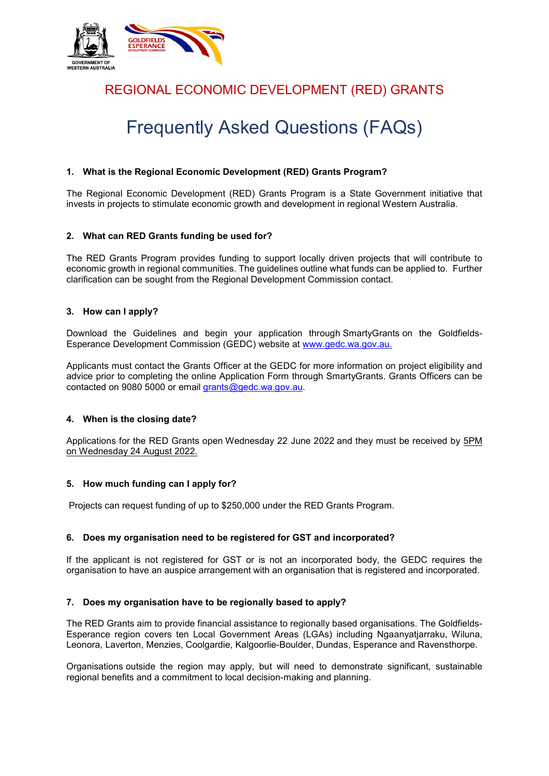

## REGIONAL ECONOMIC DEVELOPMENT (RED) GRANTS

# Frequently Asked Questions (FAQs)

#### **1. What is the Regional Economic Development (RED) Grants Program?**

The Regional Economic Development (RED) Grants Program is a State Government initiative that invests in projects to stimulate economic growth and development in regional Western Australia.

#### **2. What can RED Grants funding be used for?**

The RED Grants Program provides funding to support locally driven projects that will contribute to economic growth in regional communities. The guidelines outline what funds can be applied to. Further clarification can be sought from the Regional Development Commission contact.

#### **3. How can I apply?**

Download the Guidelines and begin your application through SmartyGrants on the Goldfields-Esperance Development Commission (GEDC) website at www.gedc.wa.gov.au.

Applicants must contact the Grants Officer at the GEDC for more information on project eligibility and advice prior to completing the online Application Form through SmartyGrants. Grants Officers can be contacted on 9080 5000 or email [grants@gedc.wa.gov.au.](mailto:grants@gedc.wa.gov.au)

#### **4. When is the closing date?**

Applications for the RED Grants open Wednesday 22 June 2022 and they must be received by 5PM on Wednesday 24 August 2022.

#### **5. How much funding can I apply for?**

Projects can request funding of up to \$250,000 under the RED Grants Program.

#### **6. Does my organisation need to be registered for GST and incorporated?**

If the applicant is not registered for GST or is not an incorporated body, the GEDC requires the organisation to have an auspice arrangement with an organisation that is registered and incorporated.

#### **7. Does my organisation have to be regionally based to apply?**

The RED Grants aim to provide financial assistance to regionally based organisations. The Goldfields-Esperance region covers ten Local Government Areas (LGAs) including Ngaanyatjarraku, Wiluna, Leonora, Laverton, Menzies, Coolgardie, Kalgoorlie-Boulder, Dundas, Esperance and Ravensthorpe.

Organisations outside the region may apply, but will need to demonstrate significant, sustainable regional benefits and a commitment to local decision-making and planning.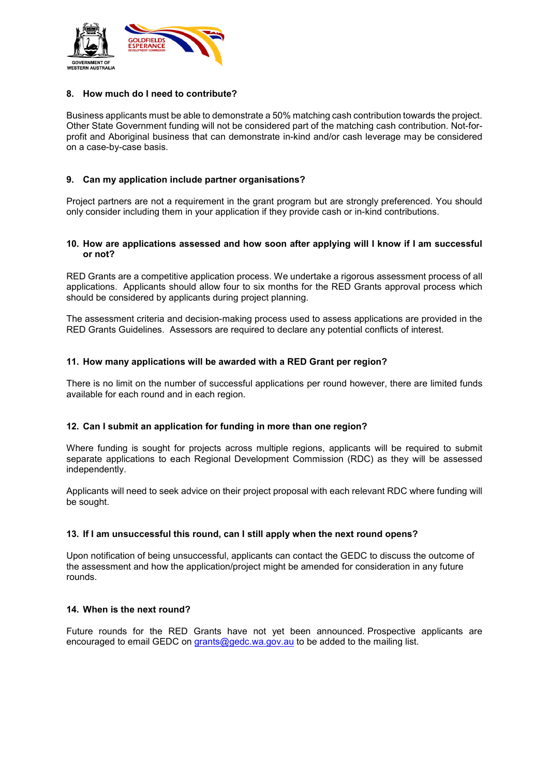

#### **8. How much do I need to contribute?**

Business applicants must be able to demonstrate a 50% matching cash contribution towards the project. Other State Government funding will not be considered part of the matching cash contribution. Not-forprofit and Aboriginal business that can demonstrate in-kind and/or cash leverage may be considered on a case-by-case basis.

#### **9. Can my application include partner organisations?**

Project partners are not a requirement in the grant program but are strongly preferenced. You should only consider including them in your application if they provide cash or in-kind contributions.

#### **10. How are applications assessed and how soon after applying will I know if I am successful or not?**

RED Grants are a competitive application process. We undertake a rigorous assessment process of all applications. Applicants should allow four to six months for the RED Grants approval process which should be considered by applicants during project planning.

The assessment criteria and decision-making process used to assess applications are provided in the RED Grants Guidelines. Assessors are required to declare any potential conflicts of interest.

#### **11. How many applications will be awarded with a RED Grant per region?**

There is no limit on the number of successful applications per round however, there are limited funds available for each round and in each region.

#### **12. Can I submit an application for funding in more than one region?**

Where funding is sought for projects across multiple regions, applicants will be required to submit separate applications to each Regional Development Commission (RDC) as they will be assessed independently.

Applicants will need to seek advice on their project proposal with each relevant RDC where funding will be sought.

#### **13. If I am unsuccessful this round, can I still apply when the next round opens?**

Upon notification of being unsuccessful, applicants can contact the GEDC to discuss the outcome of the assessment and how the application/project might be amended for consideration in any future rounds.

#### **14. When is the next round?**

Future rounds for the RED Grants have not yet been announced. Prospective applicants are encouraged to email GEDC on [grants@gedc.wa.gov.au](mailto:grants@gedc.wa.gov.au) to be added to the mailing list.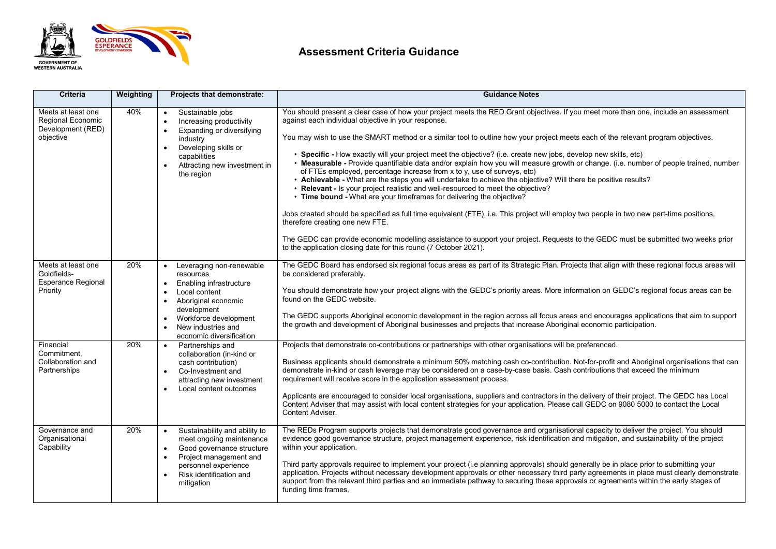

## **Assessment Criteria Guidance**

| <b>Criteria</b>                                                            | Weighting | <b>Projects that demonstrate:</b>                                                                                                                                                                                                                      | <b>Guidance Notes</b>                                                                                                                                                                                                                                                                                                                                                                                                                                                                                                                                                                                                                                                                                                                                                                                                                                                                                                                                                                                                                                                                                                                                                                                                                                                                                                                          |
|----------------------------------------------------------------------------|-----------|--------------------------------------------------------------------------------------------------------------------------------------------------------------------------------------------------------------------------------------------------------|------------------------------------------------------------------------------------------------------------------------------------------------------------------------------------------------------------------------------------------------------------------------------------------------------------------------------------------------------------------------------------------------------------------------------------------------------------------------------------------------------------------------------------------------------------------------------------------------------------------------------------------------------------------------------------------------------------------------------------------------------------------------------------------------------------------------------------------------------------------------------------------------------------------------------------------------------------------------------------------------------------------------------------------------------------------------------------------------------------------------------------------------------------------------------------------------------------------------------------------------------------------------------------------------------------------------------------------------|
| Meets at least one<br>Regional Economic<br>Development (RED)<br>objective  | 40%       | Sustainable jobs<br>Increasing productivity<br>$\bullet$<br>Expanding or diversifying<br>industry<br>Developing skills or<br>$\bullet$<br>capabilities<br>Attracting new investment in<br>$\bullet$<br>the region                                      | You should present a clear case of how your project meets the RED Grant objectives. If you meet more than one, include an assessment<br>against each individual objective in your response.<br>You may wish to use the SMART method or a similar tool to outline how your project meets each of the relevant program objectives.<br>• Specific - How exactly will your project meet the objective? (i.e. create new jobs, develop new skills, etc)<br>. Measurable - Provide quantifiable data and/or explain how you will measure growth or change. (i.e. number of people trained, number<br>of FTEs employed, percentage increase from x to y, use of surveys, etc)<br>• Achievable - What are the steps you will undertake to achieve the objective? Will there be positive results?<br>• Relevant - Is your project realistic and well-resourced to meet the objective?<br>• Time bound - What are your timeframes for delivering the objective?<br>Jobs created should be specified as full time equivalent (FTE). i.e. This project will employ two people in two new part-time positions,<br>therefore creating one new FTE.<br>The GEDC can provide economic modelling assistance to support your project. Requests to the GEDC must be submitted two weeks prior<br>to the application closing date for this round (7 October 2021). |
| Meets at least one<br>Goldfields-<br><b>Esperance Regional</b><br>Priority | 20%       | Leveraging non-renewable<br>resources<br>Enabling infrastructure<br>$\bullet$<br>Local content<br>Aboriginal economic<br>$\bullet$<br>development<br>Workforce development<br>$\bullet$<br>New industries and<br>$\bullet$<br>economic diversification | The GEDC Board has endorsed six regional focus areas as part of its Strategic Plan. Projects that align with these regional focus areas will<br>be considered preferably.<br>You should demonstrate how your project aligns with the GEDC's priority areas. More information on GEDC's regional focus areas can be<br>found on the GEDC website.<br>The GEDC supports Aboriginal economic development in the region across all focus areas and encourages applications that aim to support<br>the growth and development of Aboriginal businesses and projects that increase Aboriginal economic participation.                                                                                                                                                                                                                                                                                                                                                                                                                                                                                                                                                                                                                                                                                                                                |
| Financial<br>Commitment,<br>Collaboration and<br>Partnerships              | 20%       | Partnerships and<br>$\bullet$<br>collaboration (in-kind or<br>cash contribution)<br>Co-Investment and<br>attracting new investment<br>Local content outcomes                                                                                           | Projects that demonstrate co-contributions or partnerships with other organisations will be preferenced.<br>Business applicants should demonstrate a minimum 50% matching cash co-contribution. Not-for-profit and Aboriginal organisations that can<br>demonstrate in-kind or cash leverage may be considered on a case-by-case basis. Cash contributions that exceed the minimum<br>requirement will receive score in the application assessment process.<br>Applicants are encouraged to consider local organisations, suppliers and contractors in the delivery of their project. The GEDC has Local<br>Content Adviser that may assist with local content strategies for your application. Please call GEDC on 9080 5000 to contact the Local<br>Content Adviser.                                                                                                                                                                                                                                                                                                                                                                                                                                                                                                                                                                         |
| Governance and<br>Organisational<br>Capability                             | 20%       | Sustainability and ability to<br>$\bullet$<br>meet ongoing maintenance<br>Good governance structure<br>Project management and<br>personnel experience<br>Risk identification and<br>$\bullet$<br>mitigation                                            | The REDs Program supports projects that demonstrate good governance and organisational capacity to deliver the project. You should<br>evidence good governance structure, project management experience, risk identification and mitigation, and sustainability of the project<br>within your application.<br>Third party approvals required to implement your project (i.e planning approvals) should generally be in place prior to submitting your<br>application. Projects without necessary development approvals or other necessary third party agreements in place must clearly demonstrate<br>support from the relevant third parties and an immediate pathway to securing these approvals or agreements within the early stages of<br>funding time frames.                                                                                                                                                                                                                                                                                                                                                                                                                                                                                                                                                                            |